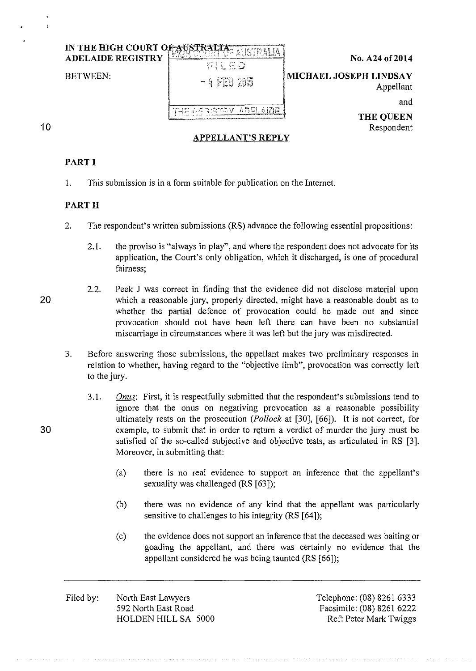|                                     |                          | IN THE HIGH COURT OF     |    |
|-------------------------------------|--------------------------|--------------------------|----|
| No. A24 of 2014                     | TILED                    | <b>ADELAIDE REGISTRY</b> |    |
| MICHAEL JOSEPH LINDSAY<br>Appellant | $-4$ FEB 2015            | <b>BETWEEN:</b>          |    |
| and                                 |                          |                          |    |
| <b>THE QUEEN</b>                    |                          |                          |    |
| Respondent                          | <b>APPELLANT'S REPLY</b> |                          | 10 |

# **PART I**

1. This submission is in a form suitable for publication on the Internet.

## **PART II**

- 2. The respondent's written submissions (RS) advance the following essential propositions:
	- 2.1. the proviso is "always in play", and where the respondent does not advocate for its application, the Court's only obligation, which it discharged, is one of procedural fairness;
- 2.2. Peek J was correct in finding that the evidence did not disclose material upon 20 which a reasonable jury, properly directed, might have a reasonable doubt as to whether the partial defence of provocation could be made out and since provocation should not have been left there can have been no substantial miscarriage in circumstances where it was left but the jury was misdirected.
	- 3. Before answering those submissions, the appellant makes two preliminary responses in relation to whether, having regard to the "objective limb", provocation was correctly left to the jury.
- 3. I. *Onus:* First, it is respectfully submitted that the respondent's submissions tend to ignore that the onus on negativing provocation as a reasonable possibility ultimately rests on the prosecution *(Pollock* at [30], [66]). It is not correct, for 30 example, to submit that in order to return a verdict of murder the jury must be satisfied of the so-called subjective and objective tests, as articulated in RS [3]. Moreover, in submitting that:
	- (a) there is no real evidence to support an inference that the appellant's sexuality was challenged (RS [63]);
	- (b) there was no evidence of any kind that the appellant was particularly sensitive to challenges to his integrity (RS [64]);
	- (c) the evidence does not support an inference that the deceased was baiting or goading the appellant, and there was certainly no evidence that the appellant considered he was being taunted (RS [66]);
	- Filed by: North East Lawyers 592 North East Road HOLDEN HILL SA 5000

Telephone: (08) 8261 6333 Facsimile: (08) 8261 6222 Ref: Peter Mark Twiggs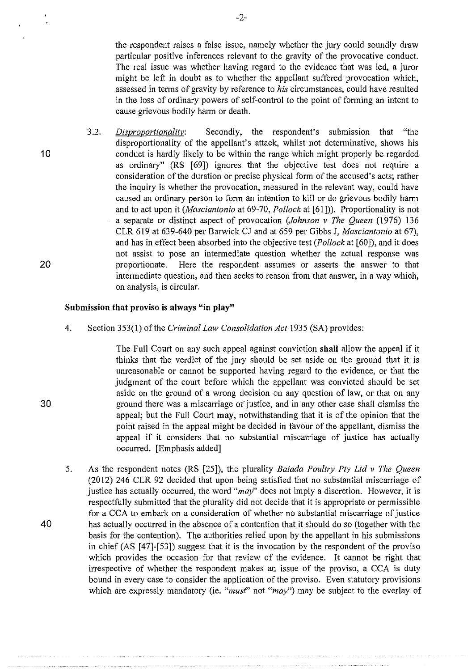the respondent raises a false issue, namely whether the jury could soundly draw particular positive inferences relevant to the gravity of the provocative conduct. The real issue was whether having regard to the evidence that was led, a juror might be left in doubt as to whether the appellant suffered provocation which, assessed in terms of gravity by reference to *his* circumstances, could have resulted in the loss of ordinary powers of self-control to the point of forming an intent to cause grievous bodily harm or death.

3.2. *Disproportionality:* Secondly, the respondent's submission that "the disproportionality of the appellant's attack, whilst not determinative, shows his conduct is hardly likely to be within the range which might properly be regarded as ordinary" (RS [69]) ignores that the objective test does not require a consideration of the duration or precise physical form of the accused's acts; rather the inquiry is whether the provocation, measured in the relevant way, could have caused an ordinary person to form an intention to kill or do grievous bodily harm and to act upon it *(Masciantonio* at 69-70, *Pollock* at [61])). Proportionality is not a separate or distinct aspect of provocation *(Johnson v The Queen* (1976) 136 CLR 619 at 639-640 per Barwick CJ and at 659 per Gibbs J, *Masciantonio* at 67), and has in effect been absorbed into the objective test *(Pollock* at [60]), and it does not assist to pose an intermediate question whether the actual response was proportionate. Here the respondent assumes or asserts the answer to that intermediate question, and then seeks to reason from that answer, in a way which, on analysis, is circular.

### **Submission that proviso is always "in play"**

4. Section 353(1) of the *Criminal Law Consolidation Act* 1935 (SA) provides:

> The Full Court on any such appeal against conviction **shall** allow the appeal if it thinks that the verdict of the jury should be set aside on the ground that it is unreasonable or cannot be supported having regard to the evidence, or that the judgment of the court before which the appellant was convicted should be set aside on the ground of a wrong decision on any question of law, or that on any ground there was a miscarriage of justice, and in any other case shall dismiss the appeal; but the Full Court **may,** notwithstanding that it is of the opinion that the point raised in the appeal might be decided in favour of the appellant, dismiss the appeal if it considers that no substantial miscarriage of justice has actually occurred. [Emphasis added]

5. As the respondent notes (RS [25]), the plurality *Baiada Poultry Pty Ltd v The Queen*  (2012) 246 CLR 92 decided that upon being satisfied that no substantial miscarriage of justice has actually occurred, the word *"may'* does not imply a discretion. However, it is respectfully submitted that the plurality did not decide that it is appropriate or permissible for a CCA to embark on a consideration of whether no substantial miscarriage of justice has actually occurred in the absence of a contention that it should do so (together with the basis for the contention). The authorities relied upon by the appellant in his submissions in chief (AS [ 47]-[53]) suggest that it is the invocation by the respondent of the proviso which provides the occasion for that review of the evidence. It cannot be right that irrespective of whether the respondent makes an issue of the proviso, a CCA is duty bound in every case to consider the application of the proviso. Even statutory provisions which are expressly mandatory (ie. *"must"* not *"may")* may be subject to the overlay of

30

40

10

20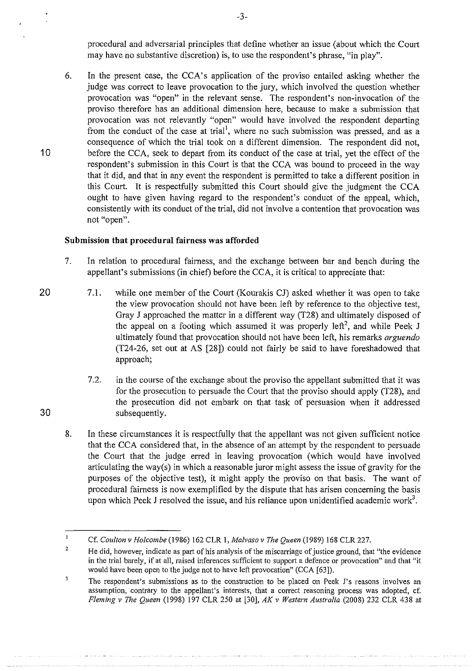procedural and adversarial principles that define whether an issue (about which the Court may have no substantive discretion) is, to use the respondent's phrase, "in play".

6. In the present case, the CCA's application of the proviso entailed asking whether the judge was correct to leave provocation to the jury, which involved the question whether provocation was "open" in the relevant sense. The respondent's non-invocation of the proviso therefore has an additional dimension here, because to make a submission that provocation was not relevantly "open" would have involved the respondent departing from the conduct of the case at trial<sup>1</sup>, where no such submission was pressed, and as a consequence of which the trial took on a different dimension. The respondent did not, before the CCA, seek to depart from its conduct of the case at trial, yet the effect of the respondent's submission in this Court is that the CCA was hound to proceed in the way that it did, and that in any event the respondent is permitted to take a different position in this Court. It is respectfully submitted this Court should give the judgment the CCA ought to have given having regard to the respondent's conduct of the appeal, which, consistently with its conduct of the trial, did not involve a contention that provocation was **not "open".** 

## **Submission that procedural fairness was afforded**

- 7. In relation to procedural faimess, and the exchange between bar and bench during the appellant's submissions (in chief) before the CCA, it is critical to appreciate that:
- 7.1. while one member of the Court (Kourakis CJ) asked whether it was open to take the view provocation should not have been left by reference to the objective test, Gray J approached the matter in a different way (T28) and ultimately disposed of the appeal on a footing which assumed it was properly left<sup>2</sup>, and while Peek J ultimately found that provocation should not have been left, his remarks *arguendo*  (T24-26, set out at AS [28]) could not fairly be said to have foreshadowed that approach;
	- 7.2. in the course ofthe exchange about the proviso the appellant submitted that it was for the prosecution to persuade the Court that the proviso should apply (T28), and the prosecution did not embark on that task of persuasion when it addressed subsequently.
	- 8. In these circumstances it is respectfully that the appellant was not given sufficient notice that the CCA considered that, in the absence of an attempt by the respondent to persuade the Court that the judge erred in leaving provocation (which would have involved articulating the way(s) in which a reasonable juror might assess the issue of gravity for the purposes of the objective test), it might apply the proviso on that basis. The want of procedural fairness is now exemplified by the dispute that has arisen concerning the basis upon which Peek J resolved the issue, and his reliance upon unidentified academic work<sup>3</sup>.

-3-

20

30

10

 $\mathbf{r}$ Cf. *Coulton v Holcombe* (1986) 162 CLR **1,** *Malvaso v The Queen* (1989) 168 CLR 227.

<sup>2</sup>  He did, however, indicate as part of his analysis of the miscarriage of justice ground, that "the evidence in the trial barely, if at all, raised inferences sufficient to support a defence or provocation" and that "it would have been open to the judge not to have left provocation" (CCA [63]).

 $\overline{\mathbf{3}}$ **The respondent's submissions as to the construction to be placed on Peek J's reasons involves an assumption, contrary to the appellant's interests, that a correct reasoning process was adopted, cf.**  *Fleming v The Queen* (1998) 197 CLR 250 at [30], *AK v Western Australia* (2008) 232 CLR 438 at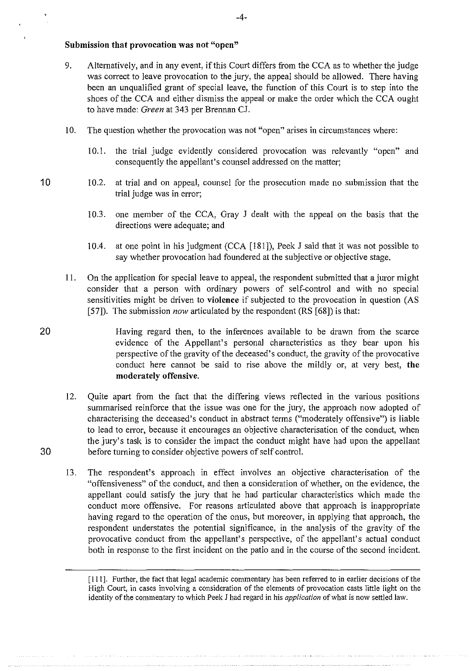## Submission that provocation was not "open"

- 9. Alternatively, and in any event, if this Court differs from the CCA as to whether the judge was correct to leave provocation to the jury, the appeal should be allowed. There having been an unqualified grant of special leave, the function of this Court is to step into the shoes of the CCA and either dismiss the appeal or make the order which the CCA ought to have made: *Green* at 343 per Brennan CJ.
- 10. The question whether the provocation was not "open" arises in circumstances where:
	- 1 0.!. the trial judge evidently considered provocation was relevantly "open" and consequently the appellant's counsel addressed on the matter;
- 10 10.2. at trial and on appeal, counsel for the prosecution made no submission that the trial judge was in error;
	- 10.3. one member of the CCA, Gray J dealt with the appeal on the basis that the directions were adequate; and
	- 10.4. at one point in his judgment (CCA [181]), Peek J said that it was not possible to say whether provocation had foundered at the subjective or objective stage.
	- 1!. On the application for special leave to appeal, the respondent submitted that a juror might consider that a person with ordinary powers of self-control and with no special sensitivities might be driven to violence if subjected to the provocation in question (AS [57]). The submission *now* articulated by the respondent (RS [68]) is that:
- 20 Having regard then, to the inferences available to be drawn from the scarce evidence of the Appellant's personal characteristics as they bear upon his perspective of the gravity of the deceased's conduct, the gravity of the provocative conduct here cannot be said to rise above the mildly or, at very best, the moderately offensive.
- 12. Quite apart from the fact that the differing views reflected in the various positions summarised reinforce that the issue was one for the jury, the approach now adopted of characterising the deceased's conduct in abstract terms ("moderately offensive") is liable to lead to error, because it encourages an objective characterisation of the conduct, when the jury's task is to consider the impact the conduct might have had upon the appellant 30 before turning to consider objective powers of self control.
	- 13. The respondent's approach in effect involves an objective characterisation of the "offensiveness" of the conduct, and then a consideration of whether, on the evidence, the appellant could satisfy the jury that he had particular characteristics which made the conduct more offensive. For reasons articulated above that approach is inappropriate having regard to the operation of the onus, but moreover, in applying that approach, the respondent understates the potential significance, in the analysis of the gravity of the provocative conduct from the appellant's perspective, of the appellant's actual conduct both in response to the first incident on the patio and in the course of the second incident.

[Ill]. Further, the fact that legal academic commentary has been referred to in earlier decisions of the High Court, in cases involving a consideration of the elements of provocation casts little light on the identity of the commentary to which Peek J had regard in his *application* of what is now settled law.